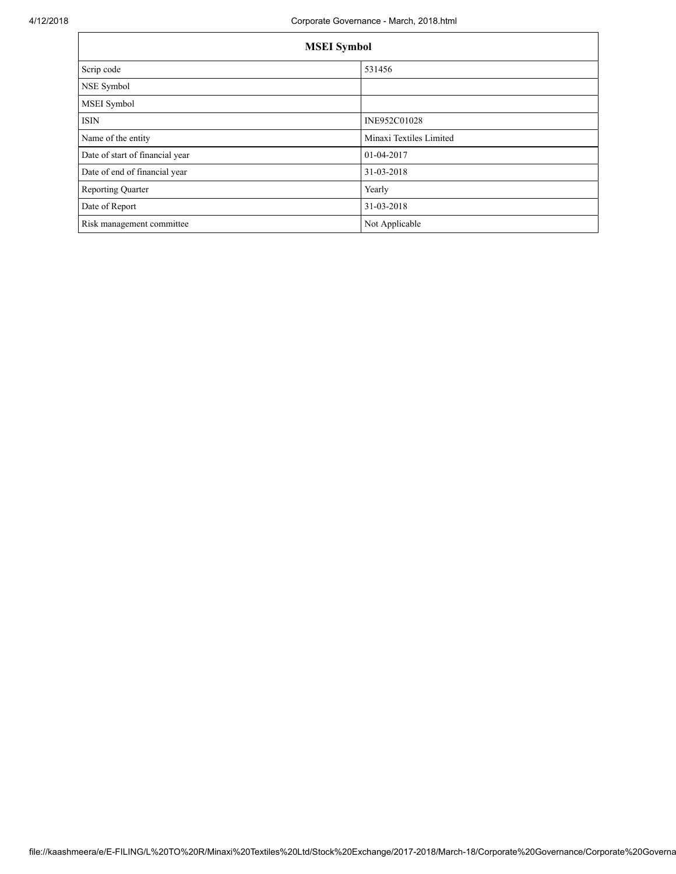| <b>MSEI</b> Symbol              |                         |  |  |  |
|---------------------------------|-------------------------|--|--|--|
| Scrip code                      | 531456                  |  |  |  |
| NSE Symbol                      |                         |  |  |  |
| MSEI Symbol                     |                         |  |  |  |
| <b>ISIN</b>                     | INE952C01028            |  |  |  |
| Name of the entity              | Minaxi Textiles Limited |  |  |  |
| Date of start of financial year | 01-04-2017              |  |  |  |
| Date of end of financial year   | 31-03-2018              |  |  |  |
| <b>Reporting Quarter</b>        | Yearly                  |  |  |  |
| Date of Report                  | 31-03-2018              |  |  |  |
| Risk management committee       | Not Applicable          |  |  |  |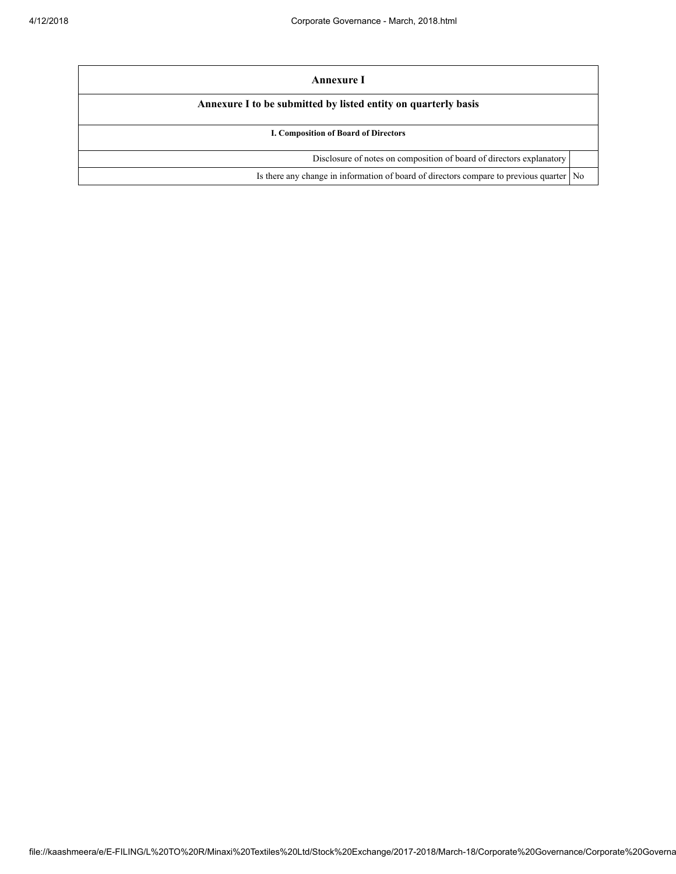| Annexure I                                                                                |  |  |  |  |
|-------------------------------------------------------------------------------------------|--|--|--|--|
| Annexure I to be submitted by listed entity on quarterly basis                            |  |  |  |  |
| I. Composition of Board of Directors                                                      |  |  |  |  |
| Disclosure of notes on composition of board of directors explanatory                      |  |  |  |  |
| Is there any change in information of board of directors compare to previous quarter   No |  |  |  |  |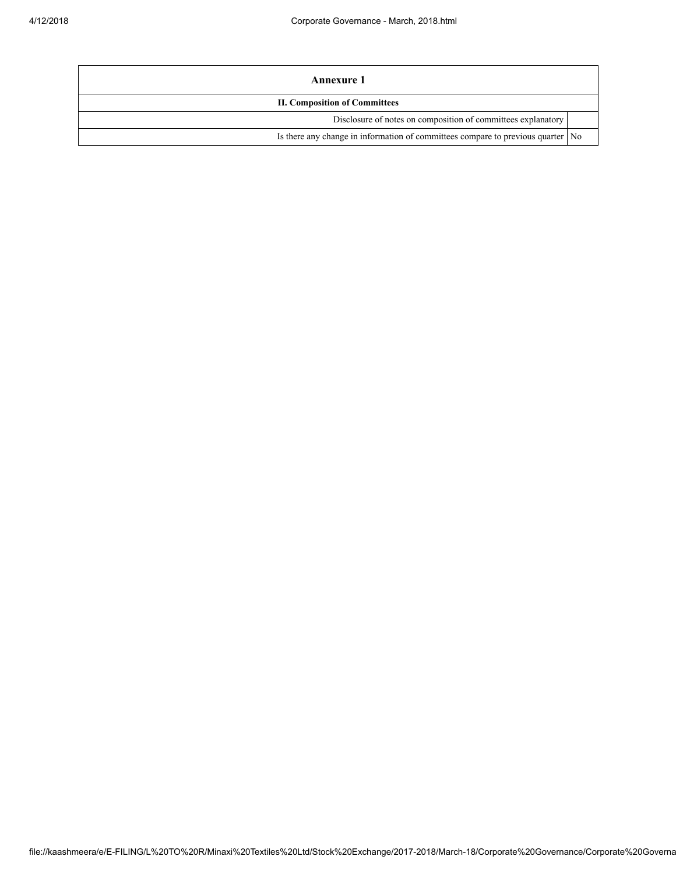| Annexure 1                                                                        |  |  |  |
|-----------------------------------------------------------------------------------|--|--|--|
| <b>II. Composition of Committees</b>                                              |  |  |  |
| Disclosure of notes on composition of committees explanatory                      |  |  |  |
| Is there any change in information of committees compare to previous quarter   No |  |  |  |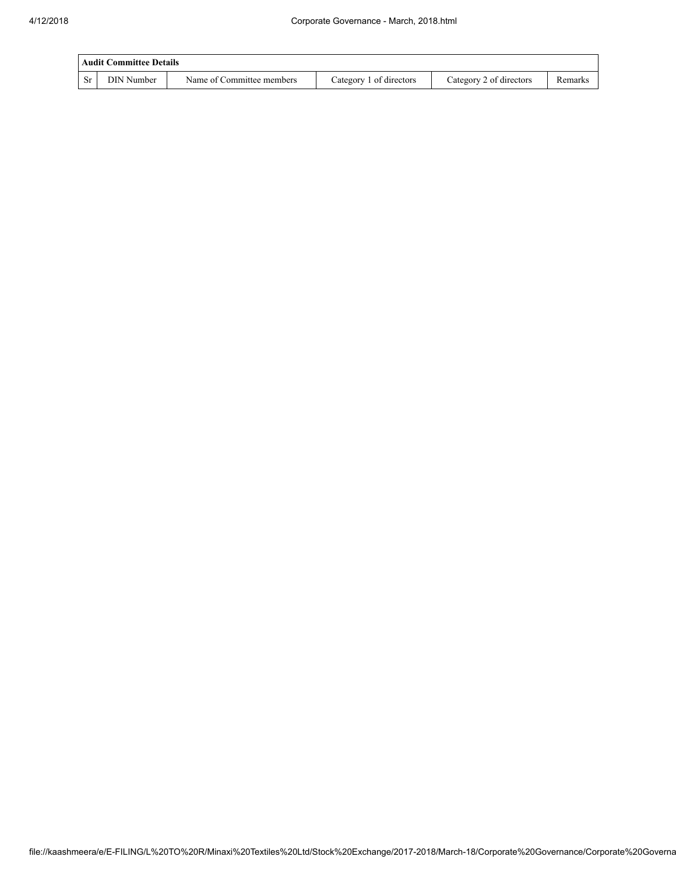|     | <b>Audit Committee Details</b> |                           |                         |                         |         |  |  |
|-----|--------------------------------|---------------------------|-------------------------|-------------------------|---------|--|--|
| -Sr | DIN Number                     | Name of Committee members | Category 1 of directors | Category 2 of directors | Remarks |  |  |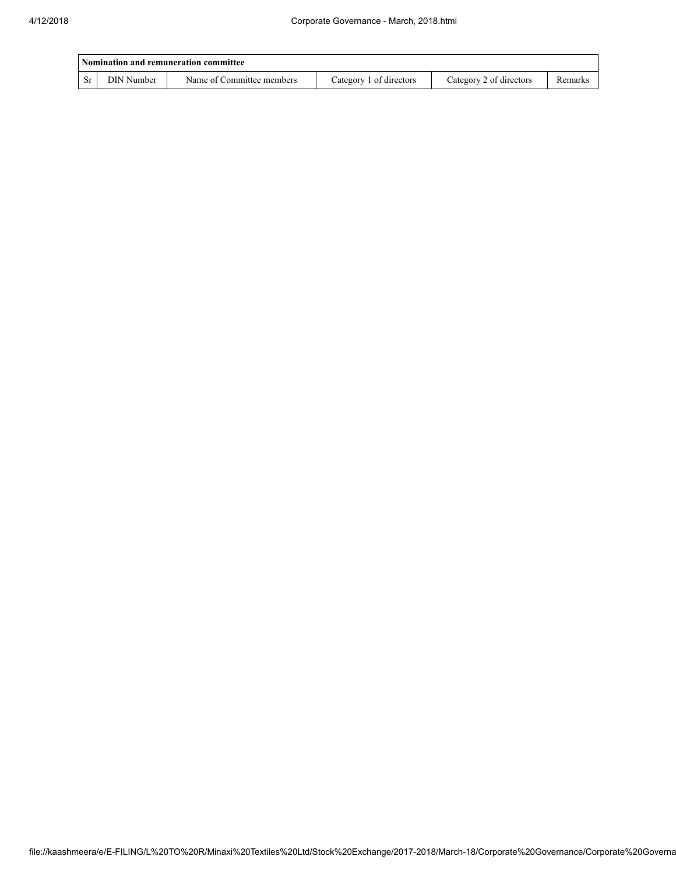| Nomination and remuneration committee |            |                           |                         |                         |         |  |
|---------------------------------------|------------|---------------------------|-------------------------|-------------------------|---------|--|
| <b>Sr</b>                             | DIN Number | Name of Committee members | Category 1 of directors | Category 2 of directors | Remarks |  |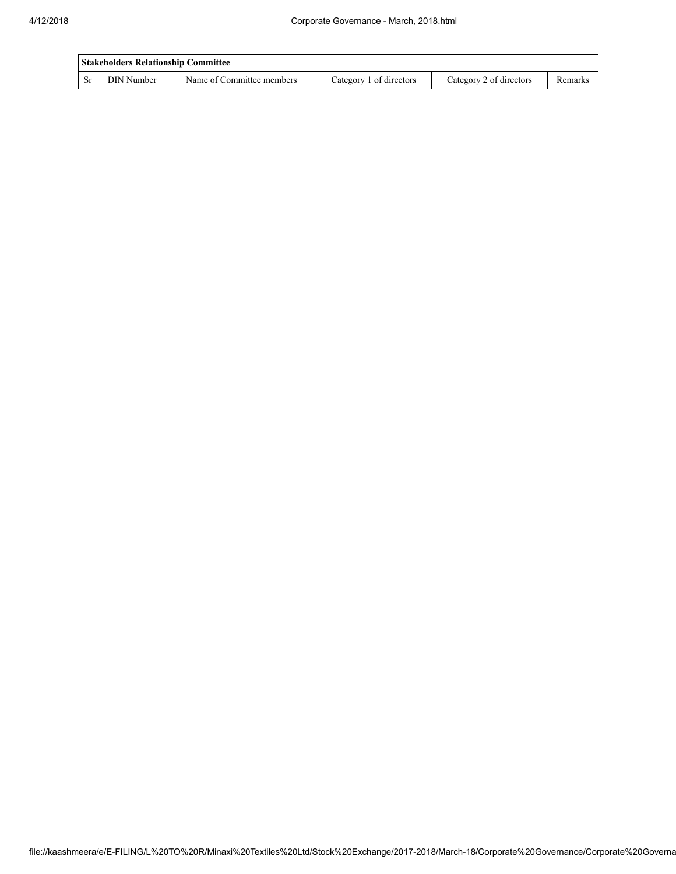| <b>Stakeholders Relationship Committee</b> |            |                           |                         |                         |         |  |
|--------------------------------------------|------------|---------------------------|-------------------------|-------------------------|---------|--|
| <b>Sr</b>                                  | DIN Number | Name of Committee members | Category 1 of directors | Category 2 of directors | Remarks |  |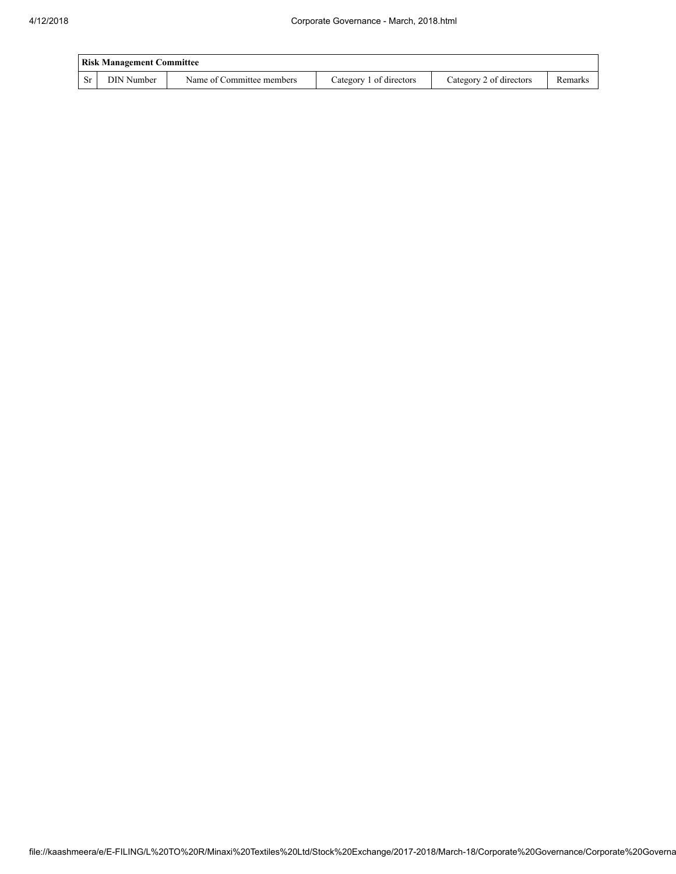| <b>Risk Management Committee</b> |            |                           |                         |                         |         |  |
|----------------------------------|------------|---------------------------|-------------------------|-------------------------|---------|--|
|                                  | DIN Number | Name of Committee members | Category 1 of directors | Category 2 of directors | Remarks |  |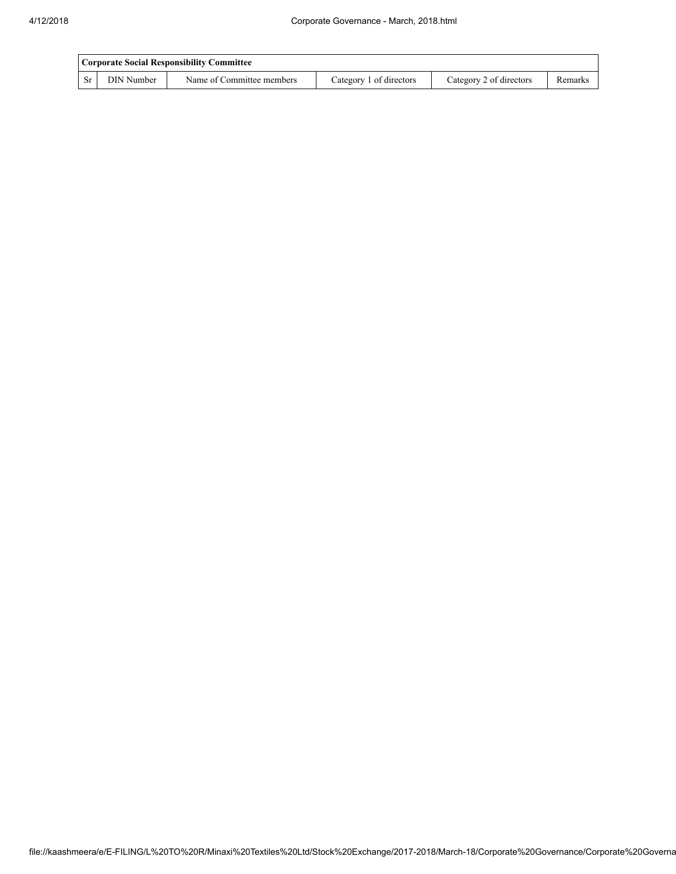|      | Corporate Social Responsibility Committee |                           |                         |                         |         |  |
|------|-------------------------------------------|---------------------------|-------------------------|-------------------------|---------|--|
| - Sr | DIN Number                                | Name of Committee members | Category 1 of directors | Category 2 of directors | Remarks |  |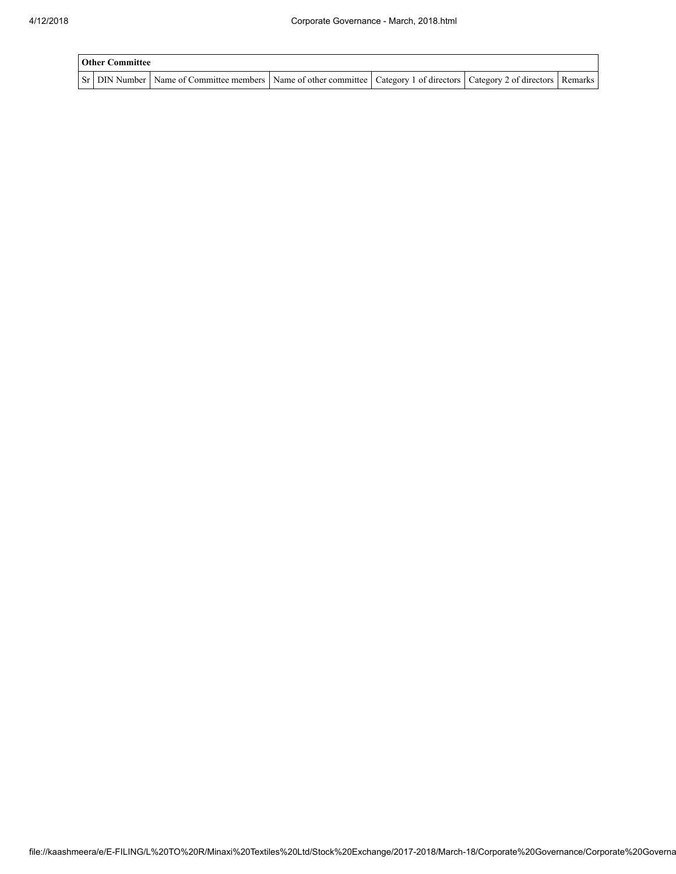| <b>Other Committee</b> |                                                                                                                                     |  |  |  |  |  |
|------------------------|-------------------------------------------------------------------------------------------------------------------------------------|--|--|--|--|--|
|                        | Sr   DIN Number   Name of Committee members   Name of other committee   Category 1 of directors   Category 2 of directors   Remarks |  |  |  |  |  |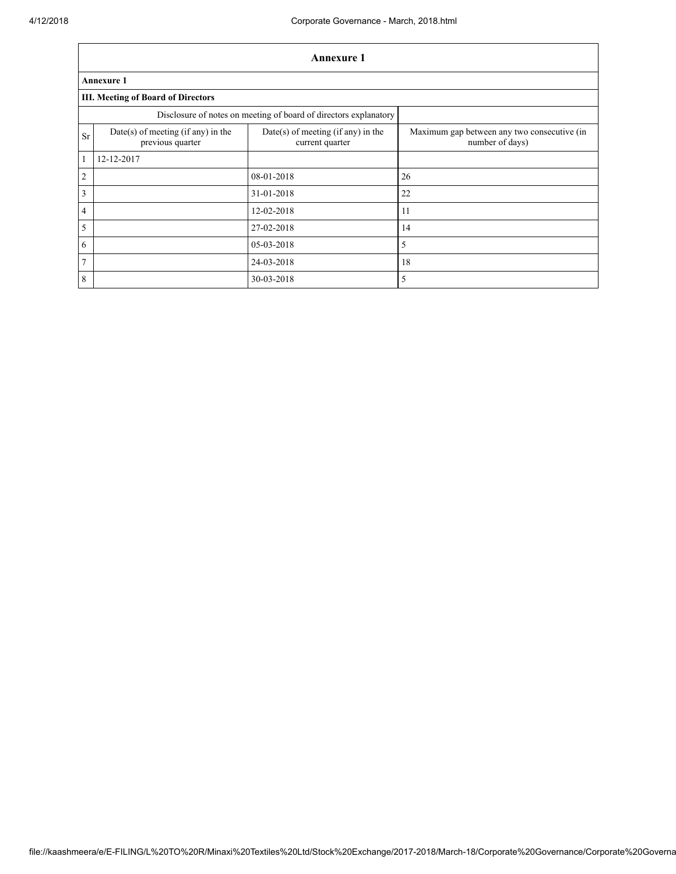Г

|                | <b>Annexure 1</b>                                      |                                                                  |                                                                |  |  |  |  |
|----------------|--------------------------------------------------------|------------------------------------------------------------------|----------------------------------------------------------------|--|--|--|--|
|                | <b>Annexure 1</b>                                      |                                                                  |                                                                |  |  |  |  |
|                | <b>III. Meeting of Board of Directors</b>              |                                                                  |                                                                |  |  |  |  |
|                |                                                        | Disclosure of notes on meeting of board of directors explanatory |                                                                |  |  |  |  |
| <b>Sr</b>      | Date(s) of meeting (if any) in the<br>previous quarter | Date(s) of meeting (if any) in the<br>current quarter            | Maximum gap between any two consecutive (in<br>number of days) |  |  |  |  |
| $\mathbf{1}$   | 12-12-2017                                             |                                                                  |                                                                |  |  |  |  |
| $\overline{2}$ |                                                        | 08-01-2018                                                       | 26                                                             |  |  |  |  |
| $\mathfrak{Z}$ |                                                        | 31-01-2018                                                       | 22                                                             |  |  |  |  |
| $\overline{4}$ |                                                        | 12-02-2018                                                       | 11                                                             |  |  |  |  |
| 5              |                                                        | 27-02-2018                                                       | 14                                                             |  |  |  |  |
| 6              |                                                        | 05-03-2018                                                       | 5                                                              |  |  |  |  |
| $\overline{7}$ |                                                        | 24-03-2018                                                       | 18                                                             |  |  |  |  |
| 8              |                                                        | 30-03-2018                                                       | 5                                                              |  |  |  |  |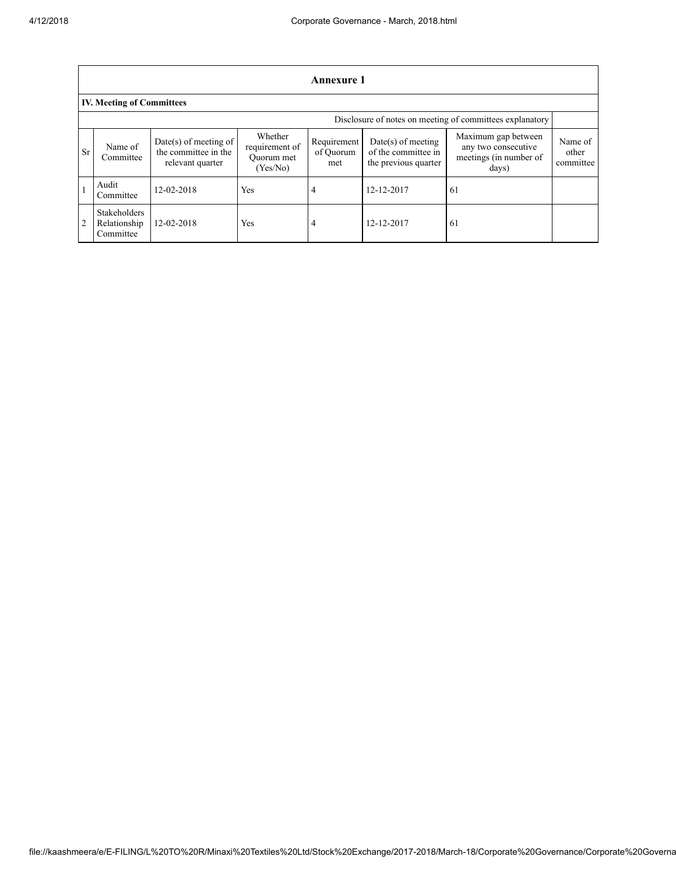|           | <b>Annexure 1</b>                                        |                                                                     |                                                     |                                 |                                                                     |                                                                               |                               |  |  |
|-----------|----------------------------------------------------------|---------------------------------------------------------------------|-----------------------------------------------------|---------------------------------|---------------------------------------------------------------------|-------------------------------------------------------------------------------|-------------------------------|--|--|
|           | <b>IV. Meeting of Committees</b>                         |                                                                     |                                                     |                                 |                                                                     |                                                                               |                               |  |  |
|           | Disclosure of notes on meeting of committees explanatory |                                                                     |                                                     |                                 |                                                                     |                                                                               |                               |  |  |
| <b>Sr</b> | Name of<br>Committee                                     | $Date(s)$ of meeting of<br>the committee in the<br>relevant quarter | Whether<br>requirement of<br>Ouorum met<br>(Yes/No) | Requirement<br>of Ouorum<br>met | $Date(s)$ of meeting<br>of the committee in<br>the previous quarter | Maximum gap between<br>any two consecutive<br>meetings (in number of<br>days) | Name of<br>other<br>committee |  |  |
|           | Audit<br>Committee                                       | 12-02-2018                                                          | Yes                                                 | 4                               | 12-12-2017                                                          | -61                                                                           |                               |  |  |
| 2         | <b>Stakeholders</b><br>Relationship<br>Committee         | 12-02-2018                                                          | Yes                                                 | 4                               | 12-12-2017                                                          | -61                                                                           |                               |  |  |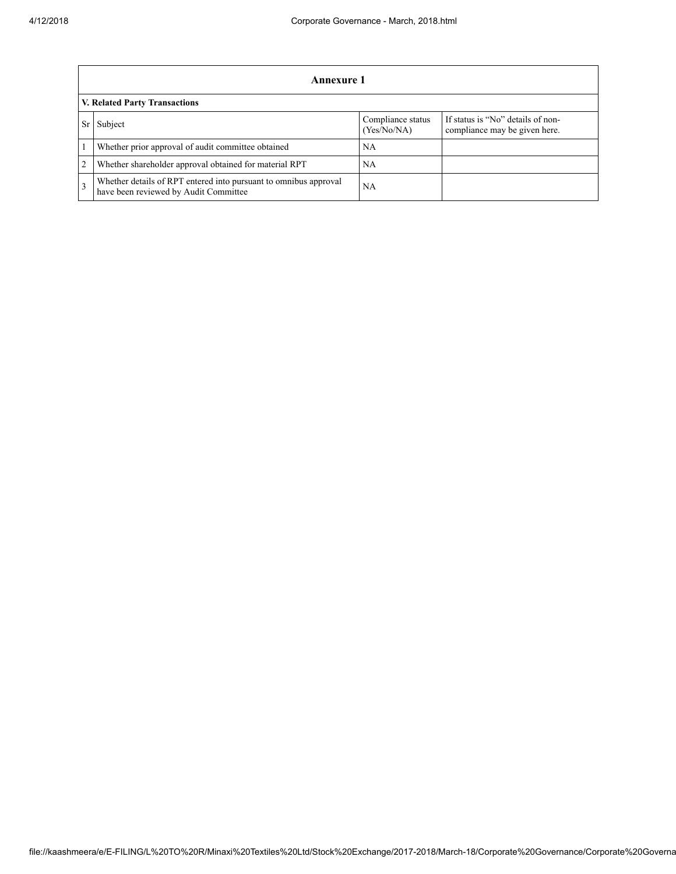|   | Annexure 1                                                                                                |                                  |                                                                    |  |  |  |
|---|-----------------------------------------------------------------------------------------------------------|----------------------------------|--------------------------------------------------------------------|--|--|--|
|   | <b>V. Related Party Transactions</b>                                                                      |                                  |                                                                    |  |  |  |
|   | Subject                                                                                                   | Compliance status<br>(Yes/No/NA) | If status is "No" details of non-<br>compliance may be given here. |  |  |  |
|   | Whether prior approval of audit committee obtained                                                        | NA                               |                                                                    |  |  |  |
| 2 | Whether shareholder approval obtained for material RPT                                                    | NA                               |                                                                    |  |  |  |
|   | Whether details of RPT entered into pursuant to omnibus approval<br>have been reviewed by Audit Committee | NA                               |                                                                    |  |  |  |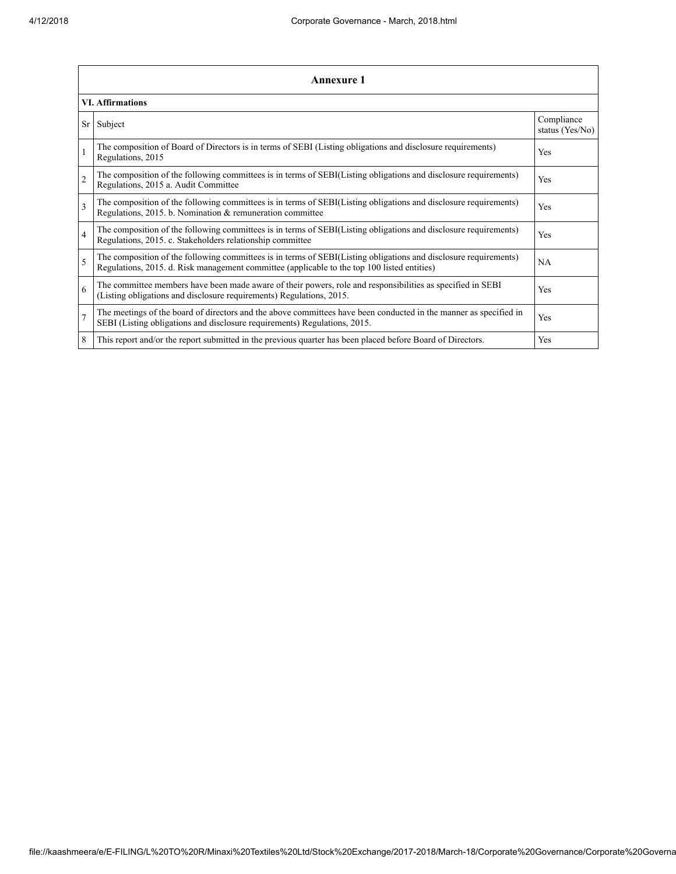|                | Annexure 1                                                                                                                                                                                                      |                               |  |  |
|----------------|-----------------------------------------------------------------------------------------------------------------------------------------------------------------------------------------------------------------|-------------------------------|--|--|
|                | <b>VI.</b> Affirmations                                                                                                                                                                                         |                               |  |  |
| Sr             | Subject                                                                                                                                                                                                         | Compliance<br>status (Yes/No) |  |  |
|                | The composition of Board of Directors is in terms of SEBI (Listing obligations and disclosure requirements)<br>Regulations, 2015                                                                                | <b>Yes</b>                    |  |  |
| $\overline{c}$ | The composition of the following committees is in terms of SEBI(Listing obligations and disclosure requirements)<br>Regulations, 2015 a. Audit Committee                                                        | <b>Yes</b>                    |  |  |
| $\mathbf{3}$   | The composition of the following committees is in terms of SEBI(Listing obligations and disclosure requirements)<br>Regulations, 2015. b. Nomination & remuneration committee                                   | <b>Yes</b>                    |  |  |
| $\overline{4}$ | The composition of the following committees is in terms of SEBI(Listing obligations and disclosure requirements)<br>Regulations, 2015. c. Stakeholders relationship committee                                   | <b>Yes</b>                    |  |  |
| 5              | The composition of the following committees is in terms of SEBI(Listing obligations and disclosure requirements)<br>Regulations, 2015. d. Risk management committee (applicable to the top 100 listed entities) | <b>NA</b>                     |  |  |
| 6              | The committee members have been made aware of their powers, role and responsibilities as specified in SEBI<br>(Listing obligations and disclosure requirements) Regulations, 2015.                              | <b>Yes</b>                    |  |  |
| $\overline{7}$ | The meetings of the board of directors and the above committees have been conducted in the manner as specified in<br>SEBI (Listing obligations and disclosure requirements) Regulations, 2015.                  | Yes                           |  |  |
| 8              | This report and/or the report submitted in the previous quarter has been placed before Board of Directors.                                                                                                      | <b>Yes</b>                    |  |  |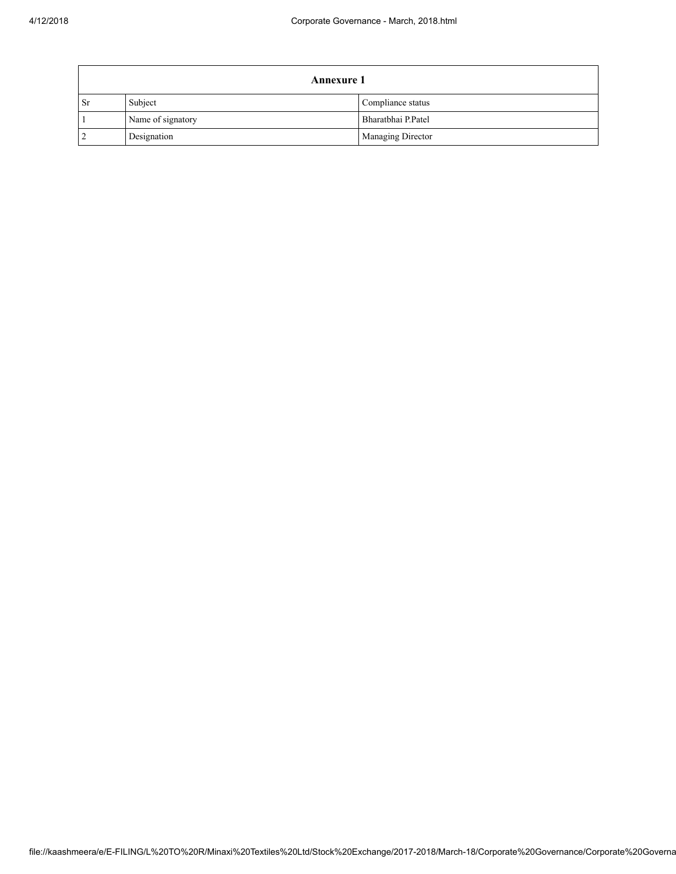| <b>Annexure 1</b> |                   |                    |
|-------------------|-------------------|--------------------|
| . Sr              | Subject           | Compliance status  |
|                   | Name of signatory | Bharatbhai P.Patel |
|                   | Designation       | Managing Director  |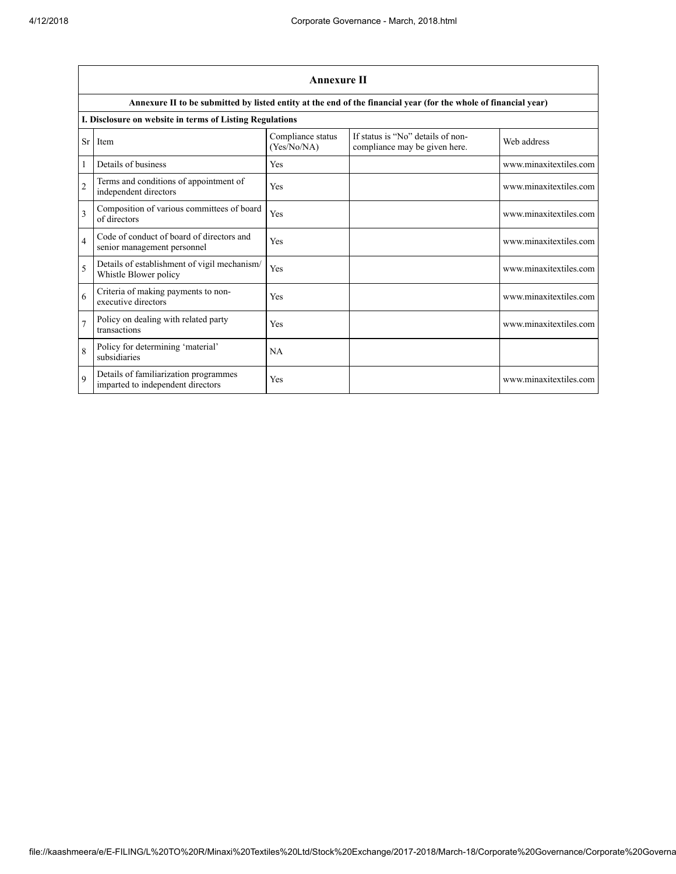|                | <b>Annexure II</b>                                                         |                                  |                                                                                                                 |                        |  |  |
|----------------|----------------------------------------------------------------------------|----------------------------------|-----------------------------------------------------------------------------------------------------------------|------------------------|--|--|
|                |                                                                            |                                  | Annexure II to be submitted by listed entity at the end of the financial year (for the whole of financial year) |                        |  |  |
|                | I. Disclosure on website in terms of Listing Regulations                   |                                  |                                                                                                                 |                        |  |  |
| Sr             | Item                                                                       | Compliance status<br>(Yes/No/NA) | If status is "No" details of non-<br>compliance may be given here.                                              | Web address            |  |  |
|                | Details of business                                                        | <b>Yes</b>                       |                                                                                                                 | www.minaxitextiles.com |  |  |
| $\overline{2}$ | Terms and conditions of appointment of<br>independent directors            | Yes                              |                                                                                                                 | www.minaxitextiles.com |  |  |
| 3              | Composition of various committees of board<br>of directors                 | Yes                              |                                                                                                                 | www.minaxitextiles.com |  |  |
| $\overline{4}$ | Code of conduct of board of directors and<br>senior management personnel   | <b>Yes</b>                       |                                                                                                                 | www.minaxitextiles.com |  |  |
| 5              | Details of establishment of vigil mechanism/<br>Whistle Blower policy      | Yes                              |                                                                                                                 | www.minaxitextiles.com |  |  |
| 6              | Criteria of making payments to non-<br>executive directors                 | Yes                              |                                                                                                                 | www.minaxitextiles.com |  |  |
| $\overline{7}$ | Policy on dealing with related party<br>transactions                       | Yes                              |                                                                                                                 | www.minaxitextiles.com |  |  |
| 8              | Policy for determining 'material'<br>subsidiaries                          | <b>NA</b>                        |                                                                                                                 |                        |  |  |
| $\mathbf Q$    | Details of familiarization programmes<br>imparted to independent directors | Yes                              |                                                                                                                 | www.minaxitextiles.com |  |  |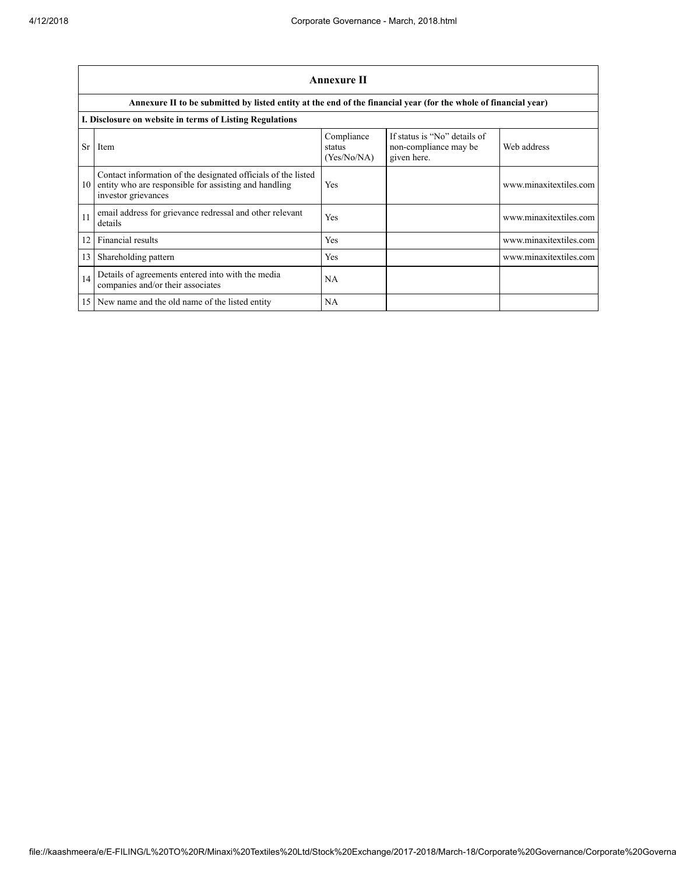|           | Annexure II                                                                                                                                   |                                     |                                                                      |                        |  |  |
|-----------|-----------------------------------------------------------------------------------------------------------------------------------------------|-------------------------------------|----------------------------------------------------------------------|------------------------|--|--|
|           | Annexure II to be submitted by listed entity at the end of the financial year (for the whole of financial year)                               |                                     |                                                                      |                        |  |  |
|           | I. Disclosure on website in terms of Listing Regulations                                                                                      |                                     |                                                                      |                        |  |  |
| <b>Sr</b> | Item                                                                                                                                          | Compliance<br>status<br>(Yes/No/NA) | If status is "No" details of<br>non-compliance may be<br>given here. | Web address            |  |  |
| 10        | Contact information of the designated officials of the listed<br>entity who are responsible for assisting and handling<br>investor grievances | Yes                                 |                                                                      | www.minaxitextiles.com |  |  |
| 11        | email address for grievance redressal and other relevant<br>details                                                                           | Yes                                 |                                                                      | www.minaxitextiles.com |  |  |
| 12        | Financial results                                                                                                                             | Yes                                 |                                                                      | www.minaxitextiles.com |  |  |
| 13        | Shareholding pattern                                                                                                                          | Yes                                 |                                                                      | www.minaxitextiles.com |  |  |
| 14        | Details of agreements entered into with the media<br>companies and/or their associates                                                        | <b>NA</b>                           |                                                                      |                        |  |  |
|           | 15 New name and the old name of the listed entity                                                                                             | <b>NA</b>                           |                                                                      |                        |  |  |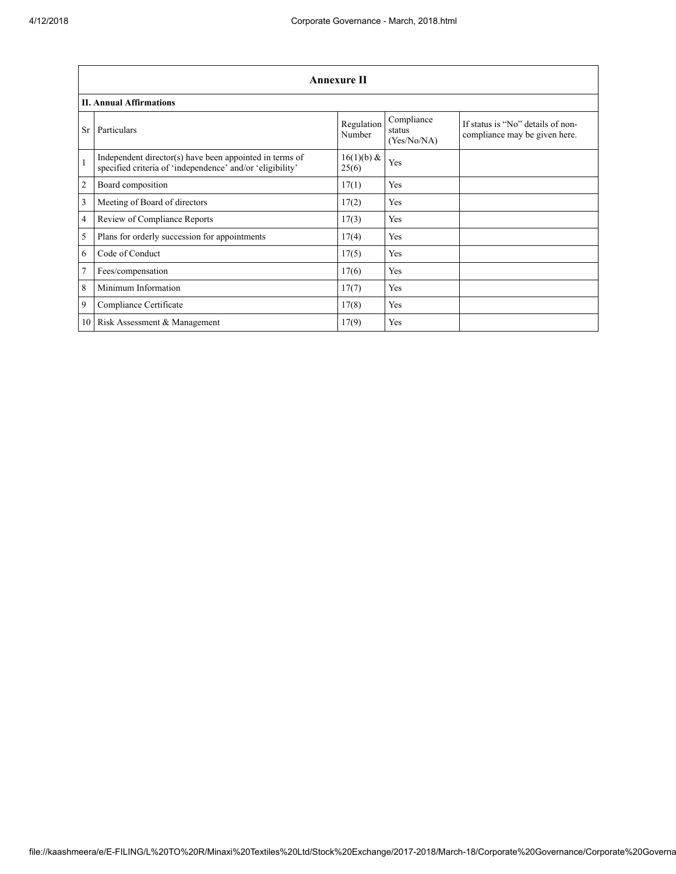|                | Annexure II                                                                                                          |                      |                                     |                                                                    |  |
|----------------|----------------------------------------------------------------------------------------------------------------------|----------------------|-------------------------------------|--------------------------------------------------------------------|--|
|                | <b>II. Annual Affirmations</b>                                                                                       |                      |                                     |                                                                    |  |
| <b>Sr</b>      | Particulars                                                                                                          | Regulation<br>Number | Compliance<br>status<br>(Yes/No/NA) | If status is "No" details of non-<br>compliance may be given here. |  |
| $\mathbf{1}$   | Independent director(s) have been appointed in terms of<br>specified criteria of 'independence' and/or 'eligibility' | 16(1)(b) &<br>25(6)  | Yes                                 |                                                                    |  |
| 2              | Board composition                                                                                                    | 17(1)                | Yes                                 |                                                                    |  |
| 3              | Meeting of Board of directors                                                                                        | 17(2)                | Yes                                 |                                                                    |  |
| $\overline{4}$ | Review of Compliance Reports                                                                                         | 17(3)                | Yes                                 |                                                                    |  |
| 5              | Plans for orderly succession for appointments                                                                        | 17(4)                | Yes                                 |                                                                    |  |
| 6              | Code of Conduct                                                                                                      | 17(5)                | Yes                                 |                                                                    |  |
| $\overline{7}$ | Fees/compensation                                                                                                    | 17(6)                | Yes                                 |                                                                    |  |
| 8              | Minimum Information                                                                                                  | 17(7)                | Yes                                 |                                                                    |  |
| 9              | Compliance Certificate                                                                                               | 17(8)                | Yes                                 |                                                                    |  |
|                | 10 Risk Assessment & Management                                                                                      | 17(9)                | Yes                                 |                                                                    |  |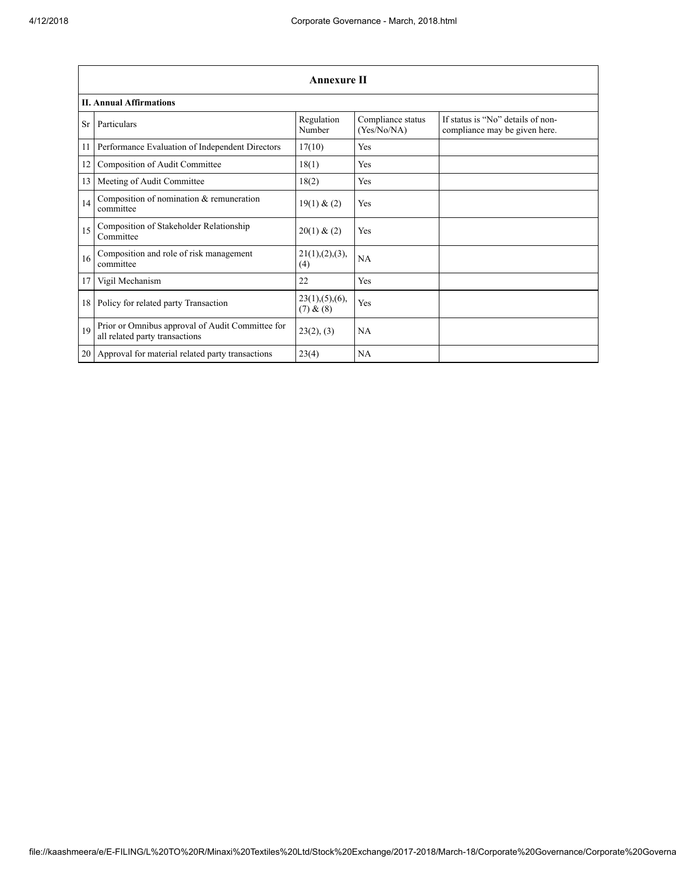|     | <b>Annexure II</b>                                                                 |                               |                                  |                                                                    |  |
|-----|------------------------------------------------------------------------------------|-------------------------------|----------------------------------|--------------------------------------------------------------------|--|
|     | <b>II. Annual Affirmations</b>                                                     |                               |                                  |                                                                    |  |
| Sr. | Particulars                                                                        | Regulation<br>Number          | Compliance status<br>(Yes/No/NA) | If status is "No" details of non-<br>compliance may be given here. |  |
| 11  | Performance Evaluation of Independent Directors                                    | 17(10)                        | Yes                              |                                                                    |  |
| 12  | Composition of Audit Committee                                                     | 18(1)                         | Yes                              |                                                                    |  |
| 13  | Meeting of Audit Committee                                                         | 18(2)                         | Yes                              |                                                                    |  |
| 14  | Composition of nomination & remuneration<br>committee                              | 19(1) & (2)                   | Yes                              |                                                                    |  |
| 15  | Composition of Stakeholder Relationship<br>Committee                               | 20(1) & (2)                   | Yes                              |                                                                    |  |
| 16  | Composition and role of risk management<br>committee                               | 21(1), (2), (3),<br>(4)       | NA                               |                                                                    |  |
| 17  | Vigil Mechanism                                                                    | 22                            | <b>Yes</b>                       |                                                                    |  |
| 18  | Policy for related party Transaction                                               | 23(1), (5), (6),<br>(7) & (8) | Yes                              |                                                                    |  |
| 19  | Prior or Omnibus approval of Audit Committee for<br>all related party transactions | 23(2), (3)                    | <b>NA</b>                        |                                                                    |  |
| 20  | Approval for material related party transactions                                   | 23(4)                         | NA                               |                                                                    |  |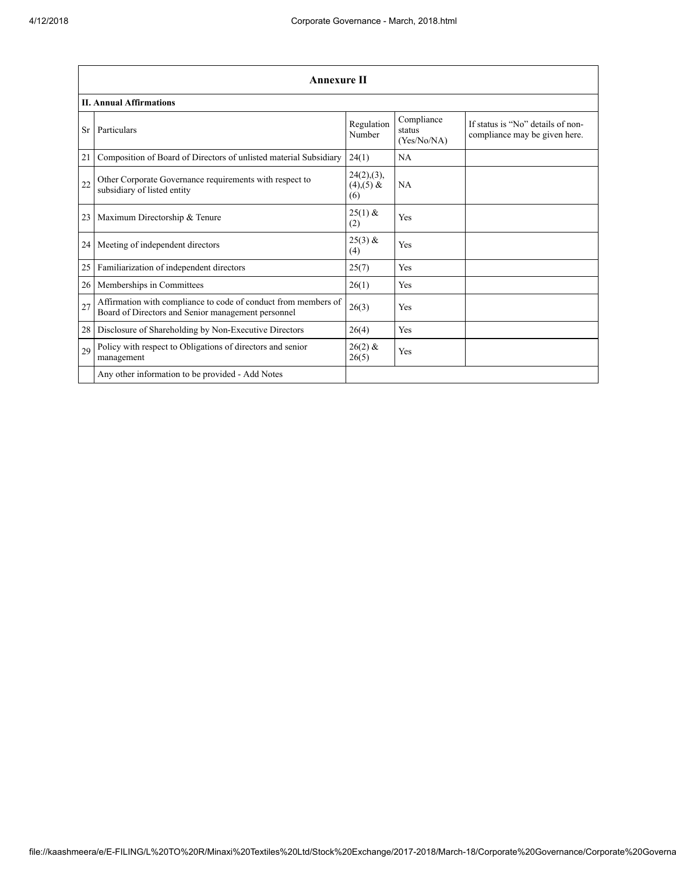|                 | <b>Annexure II</b>                                                                                                   |                                       |                                     |                                                                    |
|-----------------|----------------------------------------------------------------------------------------------------------------------|---------------------------------------|-------------------------------------|--------------------------------------------------------------------|
|                 | <b>II. Annual Affirmations</b>                                                                                       |                                       |                                     |                                                                    |
| <b>Sr</b>       | Particulars                                                                                                          | Regulation<br>Number                  | Compliance<br>status<br>(Yes/No/NA) | If status is "No" details of non-<br>compliance may be given here. |
| 21              | Composition of Board of Directors of unlisted material Subsidiary                                                    | 24(1)                                 | NA                                  |                                                                    |
| 22              | Other Corporate Governance requirements with respect to<br>subsidiary of listed entity                               | 24(2), (3),<br>$(4)$ , $(5)$ &<br>(6) | <b>NA</b>                           |                                                                    |
| 23 <sup>1</sup> | Maximum Directorship & Tenure                                                                                        | $25(1)$ &<br>(2)                      | Yes                                 |                                                                    |
| 24              | Meeting of independent directors                                                                                     | $25(3)$ &<br>(4)                      | Yes                                 |                                                                    |
| 25              | Familiarization of independent directors                                                                             | 25(7)                                 | Yes                                 |                                                                    |
| 26              | Memberships in Committees                                                                                            | 26(1)                                 | Yes                                 |                                                                    |
| 27              | Affirmation with compliance to code of conduct from members of<br>Board of Directors and Senior management personnel | 26(3)                                 | Yes                                 |                                                                    |
| 28              | Disclosure of Shareholding by Non-Executive Directors                                                                | 26(4)                                 | Yes                                 |                                                                    |
| 29              | Policy with respect to Obligations of directors and senior<br>management                                             | $26(2)$ &<br>26(5)                    | Yes                                 |                                                                    |
|                 | Any other information to be provided - Add Notes                                                                     |                                       |                                     |                                                                    |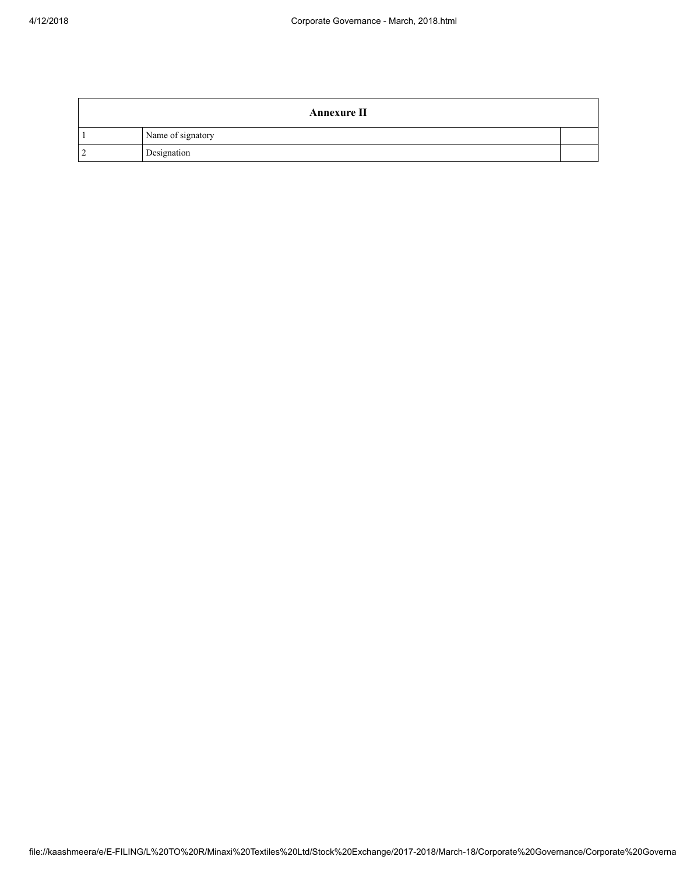| <b>Annexure II</b> |  |
|--------------------|--|
| Name of signatory  |  |
| Designation        |  |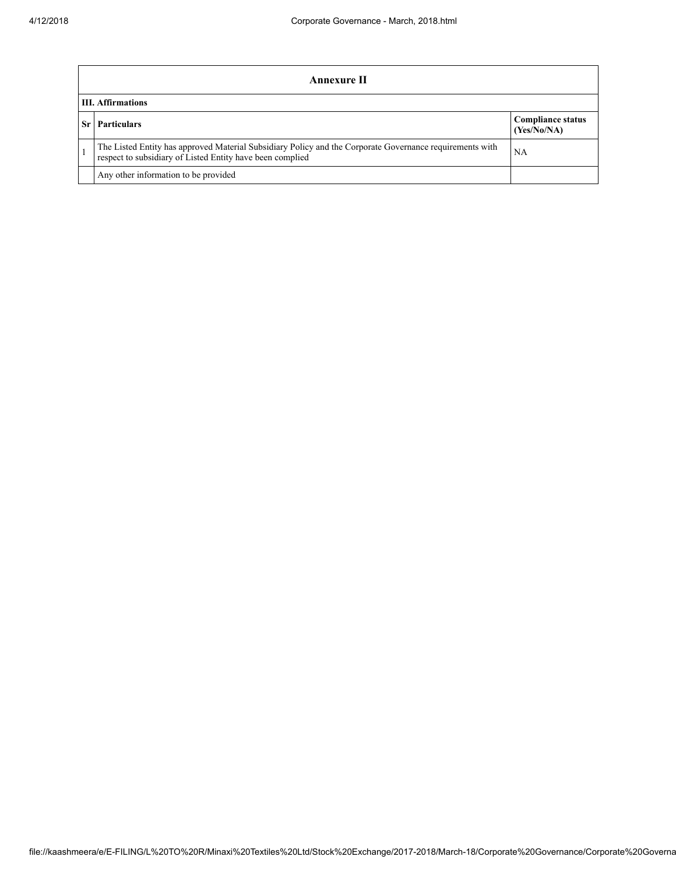|    | Annexure II                                                                                                                                                           |                                         |  |  |
|----|-----------------------------------------------------------------------------------------------------------------------------------------------------------------------|-----------------------------------------|--|--|
|    | <b>III.</b> Affirmations                                                                                                                                              |                                         |  |  |
| Sr | <b>Particulars</b>                                                                                                                                                    | <b>Compliance status</b><br>(Yes/No/NA) |  |  |
|    | The Listed Entity has approved Material Subsidiary Policy and the Corporate Governance requirements with<br>respect to subsidiary of Listed Entity have been complied | NA                                      |  |  |
|    | Any other information to be provided                                                                                                                                  |                                         |  |  |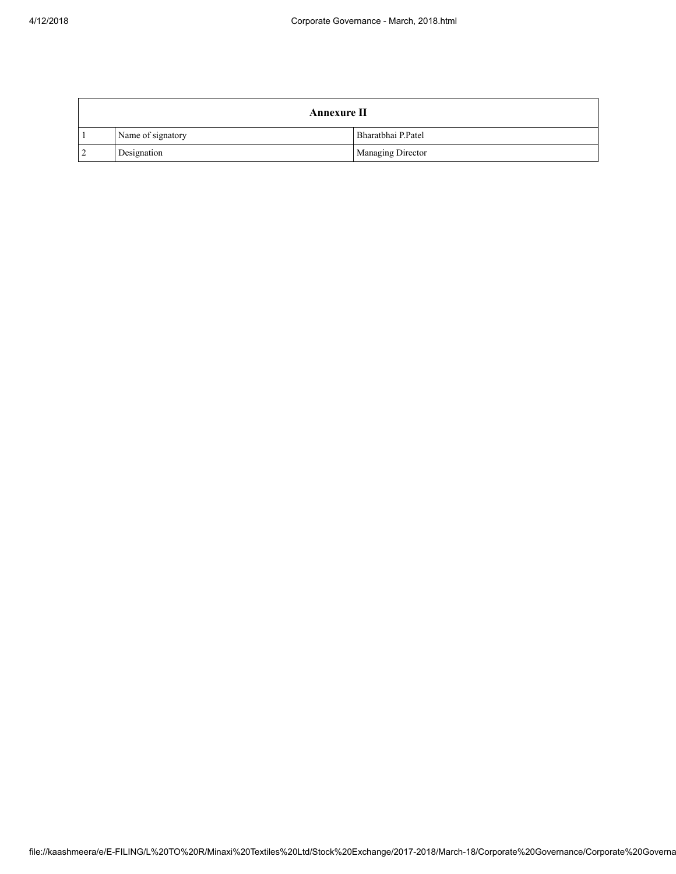|                | <b>Annexure II</b> |                    |  |
|----------------|--------------------|--------------------|--|
|                | Name of signatory  | Bharatbhai P.Patel |  |
| $\overline{2}$ | Designation        | Managing Director  |  |